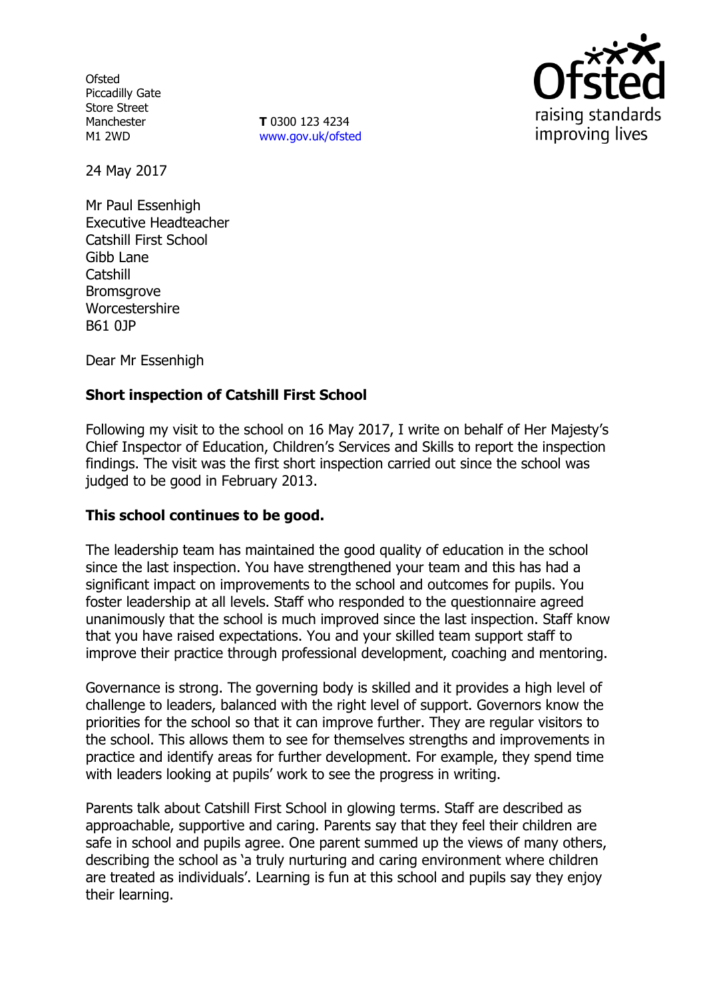**Ofsted** Piccadilly Gate Store Street Manchester M1 2WD

**T** 0300 123 4234 www.gov.uk/ofsted



24 May 2017

Mr Paul Essenhigh Executive Headteacher Catshill First School Gibb Lane **Catshill** Bromsgrove Worcestershire B61 0JP

Dear Mr Essenhigh

## **Short inspection of Catshill First School**

Following my visit to the school on 16 May 2017, I write on behalf of Her Majesty's Chief Inspector of Education, Children's Services and Skills to report the inspection findings. The visit was the first short inspection carried out since the school was judged to be good in February 2013.

## **This school continues to be good.**

The leadership team has maintained the good quality of education in the school since the last inspection. You have strengthened your team and this has had a significant impact on improvements to the school and outcomes for pupils. You foster leadership at all levels. Staff who responded to the questionnaire agreed unanimously that the school is much improved since the last inspection. Staff know that you have raised expectations. You and your skilled team support staff to improve their practice through professional development, coaching and mentoring.

Governance is strong. The governing body is skilled and it provides a high level of challenge to leaders, balanced with the right level of support. Governors know the priorities for the school so that it can improve further. They are regular visitors to the school. This allows them to see for themselves strengths and improvements in practice and identify areas for further development. For example, they spend time with leaders looking at pupils' work to see the progress in writing.

Parents talk about Catshill First School in glowing terms. Staff are described as approachable, supportive and caring. Parents say that they feel their children are safe in school and pupils agree. One parent summed up the views of many others, describing the school as 'a truly nurturing and caring environment where children are treated as individuals'. Learning is fun at this school and pupils say they enjoy their learning.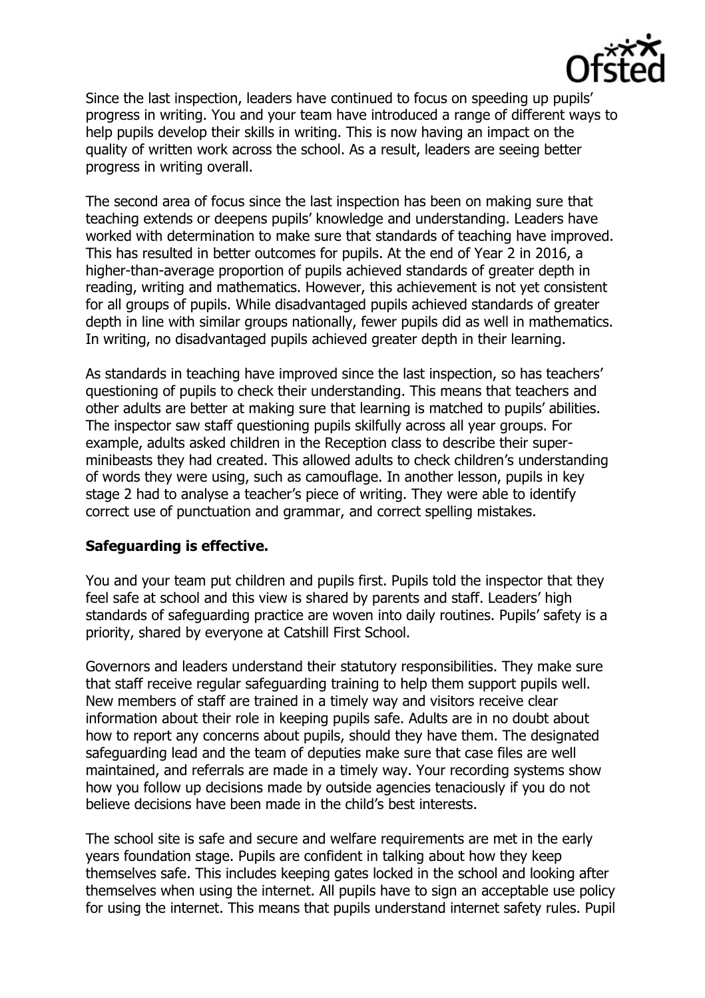

Since the last inspection, leaders have continued to focus on speeding up pupils' progress in writing. You and your team have introduced a range of different ways to help pupils develop their skills in writing. This is now having an impact on the quality of written work across the school. As a result, leaders are seeing better progress in writing overall.

The second area of focus since the last inspection has been on making sure that teaching extends or deepens pupils' knowledge and understanding. Leaders have worked with determination to make sure that standards of teaching have improved. This has resulted in better outcomes for pupils. At the end of Year 2 in 2016, a higher-than-average proportion of pupils achieved standards of greater depth in reading, writing and mathematics. However, this achievement is not yet consistent for all groups of pupils. While disadvantaged pupils achieved standards of greater depth in line with similar groups nationally, fewer pupils did as well in mathematics. In writing, no disadvantaged pupils achieved greater depth in their learning.

As standards in teaching have improved since the last inspection, so has teachers' questioning of pupils to check their understanding. This means that teachers and other adults are better at making sure that learning is matched to pupils' abilities. The inspector saw staff questioning pupils skilfully across all year groups. For example, adults asked children in the Reception class to describe their superminibeasts they had created. This allowed adults to check children's understanding of words they were using, such as camouflage. In another lesson, pupils in key stage 2 had to analyse a teacher's piece of writing. They were able to identify correct use of punctuation and grammar, and correct spelling mistakes.

## **Safeguarding is effective.**

You and your team put children and pupils first. Pupils told the inspector that they feel safe at school and this view is shared by parents and staff. Leaders' high standards of safeguarding practice are woven into daily routines. Pupils' safety is a priority, shared by everyone at Catshill First School.

Governors and leaders understand their statutory responsibilities. They make sure that staff receive regular safeguarding training to help them support pupils well. New members of staff are trained in a timely way and visitors receive clear information about their role in keeping pupils safe. Adults are in no doubt about how to report any concerns about pupils, should they have them. The designated safeguarding lead and the team of deputies make sure that case files are well maintained, and referrals are made in a timely way. Your recording systems show how you follow up decisions made by outside agencies tenaciously if you do not believe decisions have been made in the child's best interests.

The school site is safe and secure and welfare requirements are met in the early years foundation stage. Pupils are confident in talking about how they keep themselves safe. This includes keeping gates locked in the school and looking after themselves when using the internet. All pupils have to sign an acceptable use policy for using the internet. This means that pupils understand internet safety rules. Pupil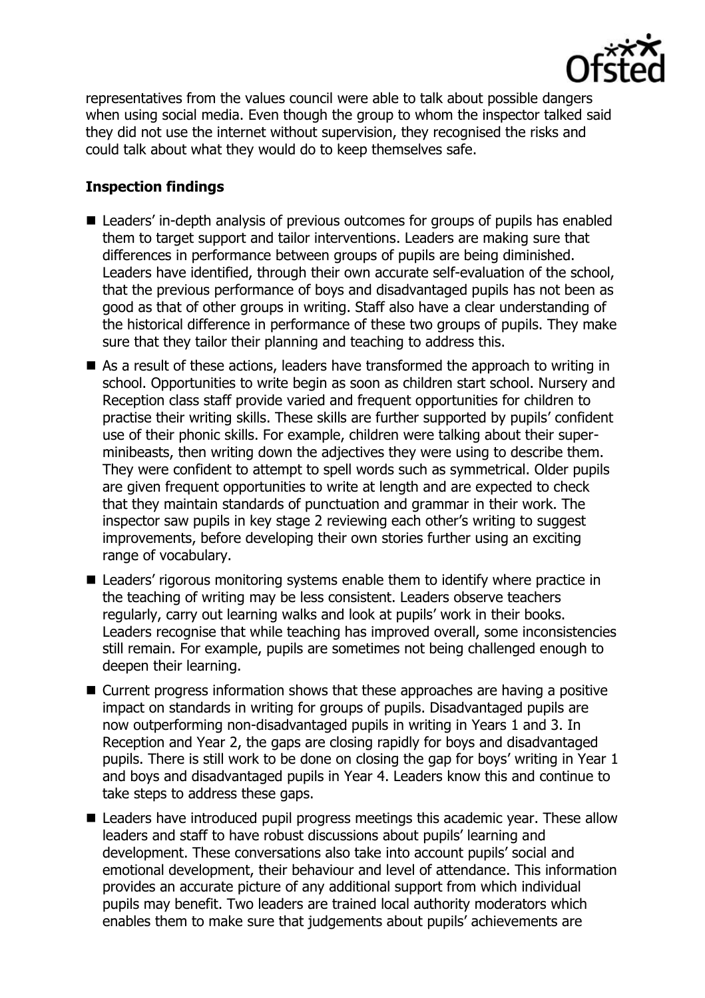

representatives from the values council were able to talk about possible dangers when using social media. Even though the group to whom the inspector talked said they did not use the internet without supervision, they recognised the risks and could talk about what they would do to keep themselves safe.

# **Inspection findings**

- Leaders' in-depth analysis of previous outcomes for groups of pupils has enabled them to target support and tailor interventions. Leaders are making sure that differences in performance between groups of pupils are being diminished. Leaders have identified, through their own accurate self-evaluation of the school, that the previous performance of boys and disadvantaged pupils has not been as good as that of other groups in writing. Staff also have a clear understanding of the historical difference in performance of these two groups of pupils. They make sure that they tailor their planning and teaching to address this.
- As a result of these actions, leaders have transformed the approach to writing in school. Opportunities to write begin as soon as children start school. Nursery and Reception class staff provide varied and frequent opportunities for children to practise their writing skills. These skills are further supported by pupils' confident use of their phonic skills. For example, children were talking about their superminibeasts, then writing down the adjectives they were using to describe them. They were confident to attempt to spell words such as symmetrical. Older pupils are given frequent opportunities to write at length and are expected to check that they maintain standards of punctuation and grammar in their work. The inspector saw pupils in key stage 2 reviewing each other's writing to suggest improvements, before developing their own stories further using an exciting range of vocabulary.
- Leaders' rigorous monitoring systems enable them to identify where practice in the teaching of writing may be less consistent. Leaders observe teachers regularly, carry out learning walks and look at pupils' work in their books. Leaders recognise that while teaching has improved overall, some inconsistencies still remain. For example, pupils are sometimes not being challenged enough to deepen their learning.
- Current progress information shows that these approaches are having a positive impact on standards in writing for groups of pupils. Disadvantaged pupils are now outperforming non-disadvantaged pupils in writing in Years 1 and 3. In Reception and Year 2, the gaps are closing rapidly for boys and disadvantaged pupils. There is still work to be done on closing the gap for boys' writing in Year 1 and boys and disadvantaged pupils in Year 4. Leaders know this and continue to take steps to address these gaps.
- Leaders have introduced pupil progress meetings this academic year. These allow leaders and staff to have robust discussions about pupils' learning and development. These conversations also take into account pupils' social and emotional development, their behaviour and level of attendance. This information provides an accurate picture of any additional support from which individual pupils may benefit. Two leaders are trained local authority moderators which enables them to make sure that judgements about pupils' achievements are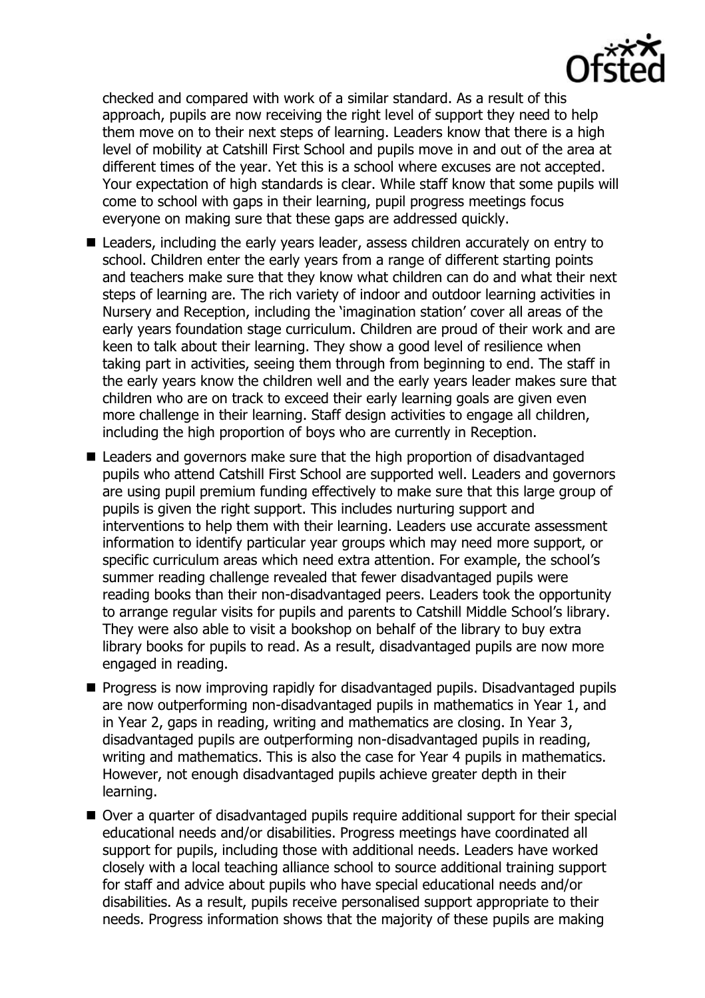checked and compared with work of a similar standard. As a result of this approach, pupils are now receiving the right level of support they need to help them move on to their next steps of learning. Leaders know that there is a high level of mobility at Catshill First School and pupils move in and out of the area at different times of the year. Yet this is a school where excuses are not accepted. Your expectation of high standards is clear. While staff know that some pupils will come to school with gaps in their learning, pupil progress meetings focus everyone on making sure that these gaps are addressed quickly.

- Leaders, including the early years leader, assess children accurately on entry to school. Children enter the early years from a range of different starting points and teachers make sure that they know what children can do and what their next steps of learning are. The rich variety of indoor and outdoor learning activities in Nursery and Reception, including the 'imagination station' cover all areas of the early years foundation stage curriculum. Children are proud of their work and are keen to talk about their learning. They show a good level of resilience when taking part in activities, seeing them through from beginning to end. The staff in the early years know the children well and the early years leader makes sure that children who are on track to exceed their early learning goals are given even more challenge in their learning. Staff design activities to engage all children, including the high proportion of boys who are currently in Reception.
- Leaders and governors make sure that the high proportion of disadvantaged pupils who attend Catshill First School are supported well. Leaders and governors are using pupil premium funding effectively to make sure that this large group of pupils is given the right support. This includes nurturing support and interventions to help them with their learning. Leaders use accurate assessment information to identify particular year groups which may need more support, or specific curriculum areas which need extra attention. For example, the school's summer reading challenge revealed that fewer disadvantaged pupils were reading books than their non-disadvantaged peers. Leaders took the opportunity to arrange regular visits for pupils and parents to Catshill Middle School's library. They were also able to visit a bookshop on behalf of the library to buy extra library books for pupils to read. As a result, disadvantaged pupils are now more engaged in reading.
- **Progress is now improving rapidly for disadvantaged pupils. Disadvantaged pupils** are now outperforming non-disadvantaged pupils in mathematics in Year 1, and in Year 2, gaps in reading, writing and mathematics are closing. In Year 3, disadvantaged pupils are outperforming non-disadvantaged pupils in reading, writing and mathematics. This is also the case for Year 4 pupils in mathematics. However, not enough disadvantaged pupils achieve greater depth in their learning.
- Over a quarter of disadvantaged pupils require additional support for their special educational needs and/or disabilities. Progress meetings have coordinated all support for pupils, including those with additional needs. Leaders have worked closely with a local teaching alliance school to source additional training support for staff and advice about pupils who have special educational needs and/or disabilities. As a result, pupils receive personalised support appropriate to their needs. Progress information shows that the majority of these pupils are making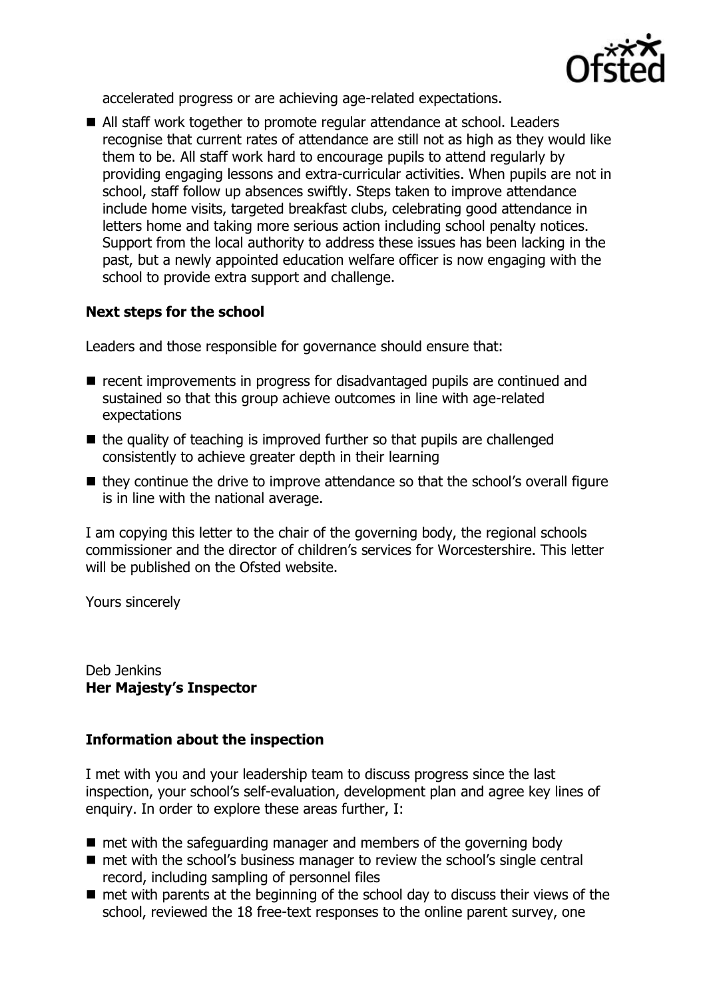

accelerated progress or are achieving age-related expectations.

■ All staff work together to promote regular attendance at school. Leaders recognise that current rates of attendance are still not as high as they would like them to be. All staff work hard to encourage pupils to attend regularly by providing engaging lessons and extra-curricular activities. When pupils are not in school, staff follow up absences swiftly. Steps taken to improve attendance include home visits, targeted breakfast clubs, celebrating good attendance in letters home and taking more serious action including school penalty notices. Support from the local authority to address these issues has been lacking in the past, but a newly appointed education welfare officer is now engaging with the school to provide extra support and challenge.

## **Next steps for the school**

Leaders and those responsible for governance should ensure that:

- recent improvements in progress for disadvantaged pupils are continued and sustained so that this group achieve outcomes in line with age-related expectations
- $\blacksquare$  the quality of teaching is improved further so that pupils are challenged consistently to achieve greater depth in their learning
- $\blacksquare$  they continue the drive to improve attendance so that the school's overall figure is in line with the national average.

I am copying this letter to the chair of the governing body, the regional schools commissioner and the director of children's services for Worcestershire. This letter will be published on the Ofsted website.

Yours sincerely

Deb Jenkins **Her Majesty's Inspector**

## **Information about the inspection**

I met with you and your leadership team to discuss progress since the last inspection, your school's self-evaluation, development plan and agree key lines of enquiry. In order to explore these areas further, I:

- $\blacksquare$  met with the safeguarding manager and members of the governing body
- met with the school's business manager to review the school's single central record, including sampling of personnel files
- $\blacksquare$  met with parents at the beginning of the school day to discuss their views of the school, reviewed the 18 free-text responses to the online parent survey, one